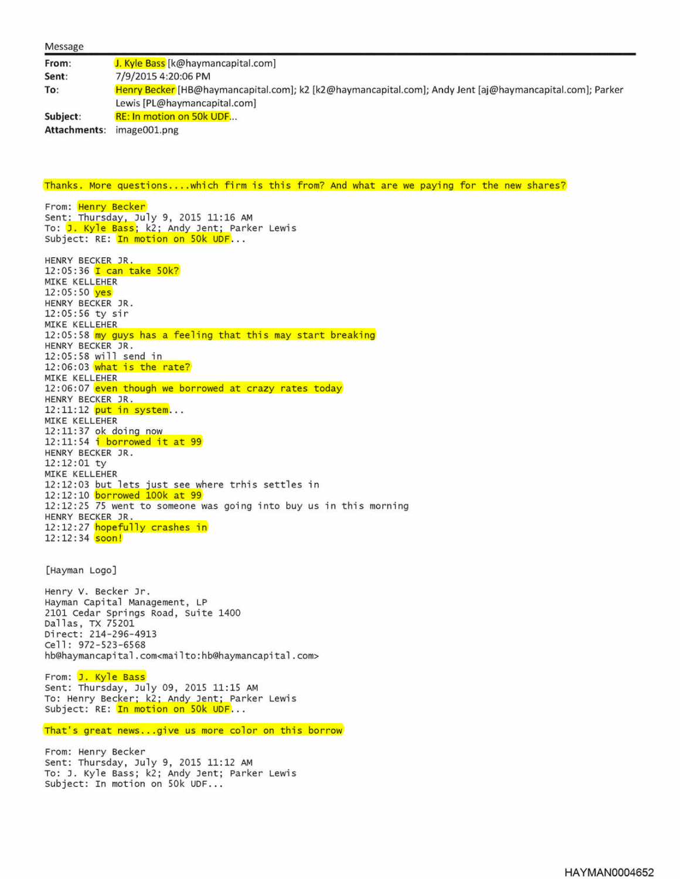| Message      |                                                                                                          |
|--------------|----------------------------------------------------------------------------------------------------------|
| From:        | J. Kyle Bass [k@haymancapital.com]                                                                       |
| Sent:        | 7/9/2015 4:20:06 PM                                                                                      |
| To:          | Henry Becker [HB@haymancapital.com]; k2 [k2@haymancapital.com]; Andy Jent [aj@haymancapital.com]; Parker |
|              | Lewis [PL@haymancapital.com]                                                                             |
| Subject:     | <b>RE: In motion on 50k UDF</b>                                                                          |
| Attachments: | image001.png                                                                                             |

Thanks. More questions.... which firm is this from? And what are we paying for the new shares?

From: <mark>Henry Becker</mark> Sent: Thursday, July 9, 2015 11:16 AM To: <mark>J. Kyle Bass</mark>; k2; Andy Jent; Parker Lewis Subject: RE: In motion on 50k UDF...

HENRY BECKER JR. 12:05:36 T can take 50k? MIKE KELLEHER 12:05:50 yes HENRY BECKER JR. 12:05:56 ty sir MIKE KELLEHER 12:05:58 my guys has a feeling that this may start breaking HENRY BECKER JR. 12:05:58 will send in 12:06:03 what is the rate? MIKE KELLEHER 12:06:07 even though we borrowed at crazy rates today HENRY BECKER JR. 12:11:12 put in system... MIKE KELLEHER 12:11:37 ok doing now 12:11:54 i borrowed it at 99 HENRY BECKER JR. 12:12:01 ty MIKE KELLEHER 12:12:03 but lets just see where trhis settles in 12:12:10 borrowed 100k at 99 12:12:25 75 went to someone was going into buy us in this morning HENRY BECKER JR. 12:12:27 hopefully crashes in 12:12:34 soon!

[Hayman Logo]

Henry V. Becker Jr. Hayman Capital Management, LP 2101 Cedar Springs Road, Suite 1400 Dallas, TX 75201 Direct: 214-296-4913 Cell: 972-S23-6S68 hb@haymancapital.com<mailto :hb@haymancapital .com>

From: J. Kyle Bass Sent: Thursday, July 09, 2015 11:15 AM To: Henry Becker; k2; Andy Jent; Parker Lewis Subject: RE: <mark>In motion on 50k UDF</mark>...

That's great news...give us more color on this borrow

From: Henry Becker Sent: Thursday, July 9, 2015 11:12 AM To: J. Kyle Bass; k2; Andy Jent; Parker Lewis subject: In motion on 50k UDF...